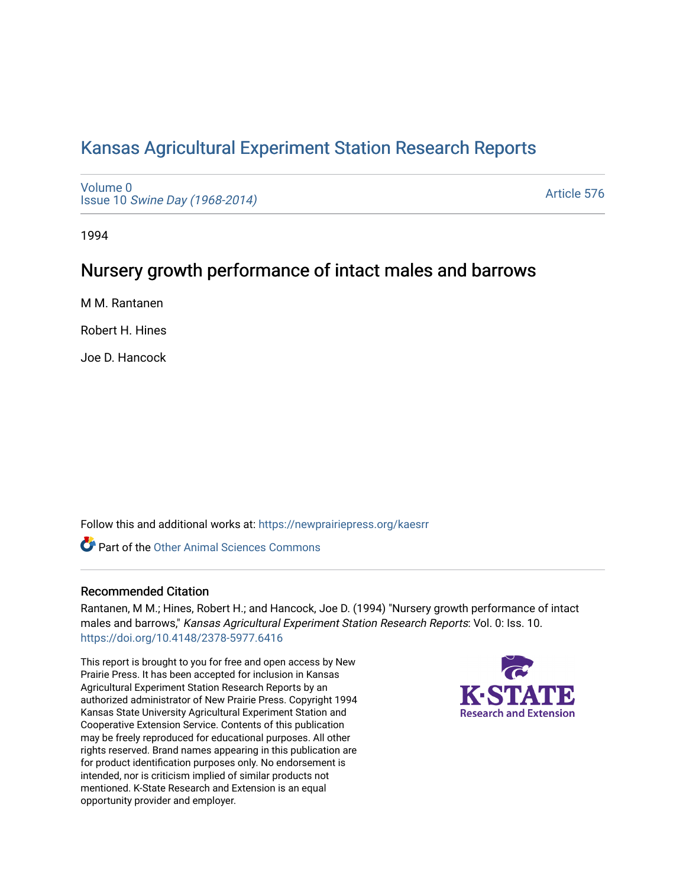# [Kansas Agricultural Experiment Station Research Reports](https://newprairiepress.org/kaesrr)

[Volume 0](https://newprairiepress.org/kaesrr/vol0) Issue 10 [Swine Day \(1968-2014\)](https://newprairiepress.org/kaesrr/vol0/iss10)

[Article 576](https://newprairiepress.org/kaesrr/vol0/iss10/576) 

1994

## Nursery growth performance of intact males and barrows

M M. Rantanen

Robert H. Hines

Joe D. Hancock

Follow this and additional works at: [https://newprairiepress.org/kaesrr](https://newprairiepress.org/kaesrr?utm_source=newprairiepress.org%2Fkaesrr%2Fvol0%2Fiss10%2F576&utm_medium=PDF&utm_campaign=PDFCoverPages) 

**C** Part of the [Other Animal Sciences Commons](http://network.bepress.com/hgg/discipline/82?utm_source=newprairiepress.org%2Fkaesrr%2Fvol0%2Fiss10%2F576&utm_medium=PDF&utm_campaign=PDFCoverPages)

## Recommended Citation

Rantanen, M M.; Hines, Robert H.; and Hancock, Joe D. (1994) "Nursery growth performance of intact males and barrows," Kansas Agricultural Experiment Station Research Reports: Vol. 0: Iss. 10. <https://doi.org/10.4148/2378-5977.6416>

This report is brought to you for free and open access by New Prairie Press. It has been accepted for inclusion in Kansas Agricultural Experiment Station Research Reports by an authorized administrator of New Prairie Press. Copyright 1994 Kansas State University Agricultural Experiment Station and Cooperative Extension Service. Contents of this publication may be freely reproduced for educational purposes. All other rights reserved. Brand names appearing in this publication are for product identification purposes only. No endorsement is intended, nor is criticism implied of similar products not mentioned. K-State Research and Extension is an equal opportunity provider and employer.

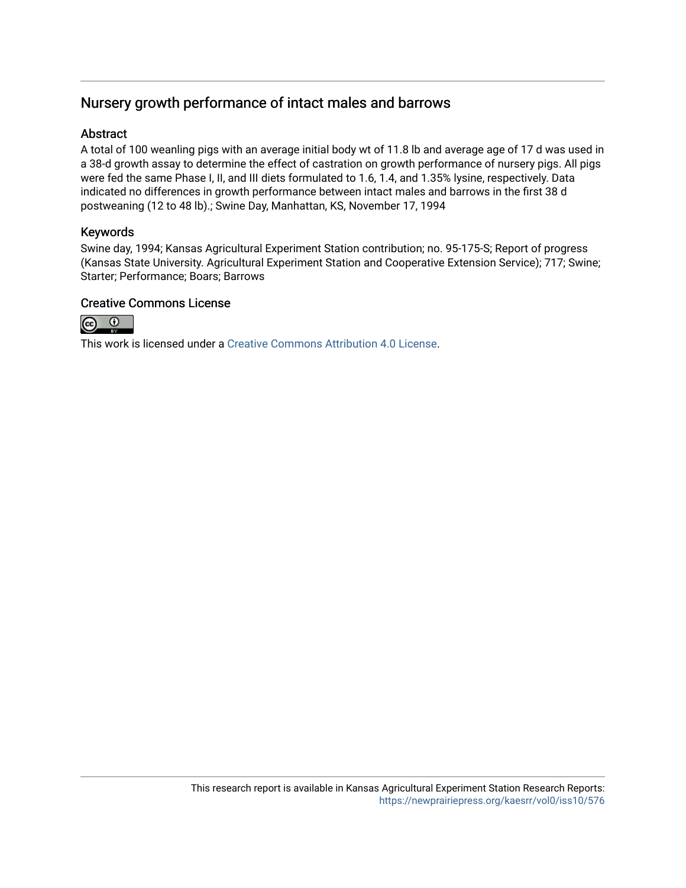## Nursery growth performance of intact males and barrows

### Abstract

A total of 100 weanling pigs with an average initial body wt of 11.8 lb and average age of 17 d was used in a 38-d growth assay to determine the effect of castration on growth performance of nursery pigs. All pigs were fed the same Phase I, II, and III diets formulated to 1.6, 1.4, and 1.35% lysine, respectively. Data indicated no differences in growth performance between intact males and barrows in the first 38 d postweaning (12 to 48 lb).; Swine Day, Manhattan, KS, November 17, 1994

## Keywords

Swine day, 1994; Kansas Agricultural Experiment Station contribution; no. 95-175-S; Report of progress (Kansas State University. Agricultural Experiment Station and Cooperative Extension Service); 717; Swine; Starter; Performance; Boars; Barrows

## Creative Commons License



This work is licensed under a [Creative Commons Attribution 4.0 License](https://creativecommons.org/licenses/by/4.0/).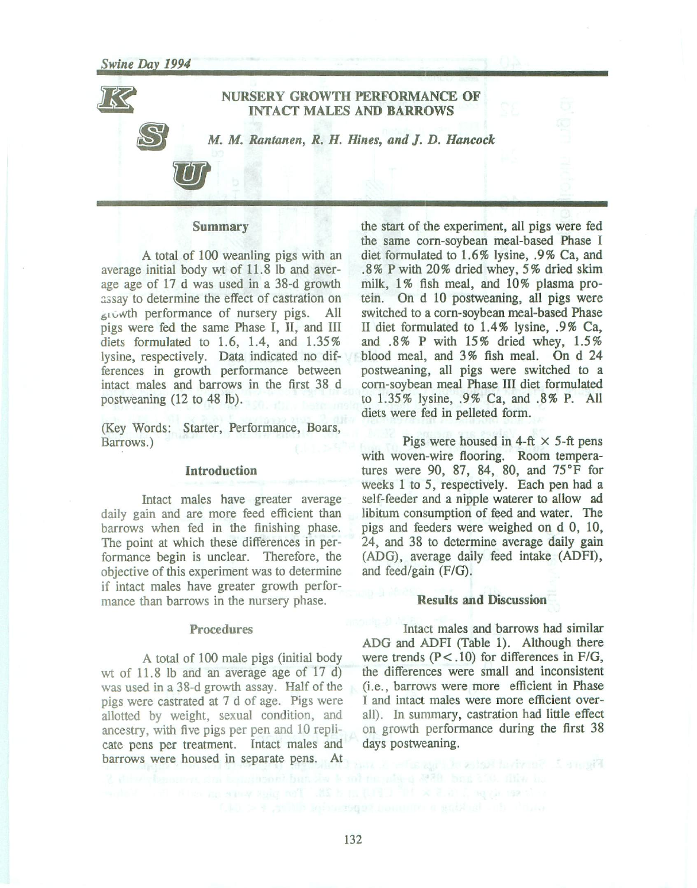#### **NURSERY GROWTH PERFORMANCE OF INTACT MALES AND BARROWS**

M. M. Rantanen, R. H. Hines, and J. D. Hancock

#### **Summary**

A total of 100 weanling pigs with an average initial body wt of 11.8 lb and average age of 17 d was used in a 38-d growth assay to determine the effect of castration on growth performance of nursery pigs. All pigs were fed the same Phase I, II, and III diets formulated to 1.6, 1.4, and  $1.35\%$ lysine, respectively. Data indicated no differences in growth performance between intact males and barrows in the first 38 d postweaning  $(12 \text{ to } 48 \text{ lb}).$ 

(Key Words: Starter, Performance, Boars, Barrows.)

#### **Introduction**

Intact males have greater average daily gain and are more feed efficient than barrows when fed in the finishing phase. The point at which these differences in performance begin is unclear. Therefore, the objective of this experiment was to determine if intact males have greater growth performance than barrows in the nursery phase.

#### **Procedures**

A total of 100 male pigs (initial body wt of  $11.8$  lb and an average age of  $17$  d) was used in a 38-d growth assay. Half of the pigs were castrated at 7 d of age. Pigs were allotted by weight, sexual condition, and ancestry, with five pigs per pen and 10 replicate pens per treatment. Intact males and barrows were housed in separate pens. At

the start of the experiment, all pigs were fed the same corn-soybean meal-based Phase I diet formulated to 1.6% lysine, .9% Ca, and .8% P with 20% dried whey, 5% dried skim milk, 1% fish meal, and 10% plasma protein. On d 10 postweaning, all pigs were switched to a corn-soybean meal-based Phase II diet formulated to 1.4% lysine, .9% Ca, and .8% P with 15% dried whey, 1.5% blood meal, and 3% fish meal. On d 24 postweaning, all pigs were switched to a corn-soybean meal Phase III diet formulated to 1.35% lysine, .9% Ca, and .8% P. All diets were fed in pelleted form.

Pigs were housed in 4-ft  $\times$  5-ft pens with woven-wire flooring. Room temperatures were 90, 87, 84, 80, and  $75^{\circ}$ F for weeks 1 to 5, respectively. Each pen had a self-feeder and a nipple waterer to allow ad libitum consumption of feed and water. The pigs and feeders were weighed on d 0, 10, 24, and 38 to determine average daily gain (ADG), average daily feed intake (ADFI), and feed/gain  $(F/G)$ .

#### **Results and Discussion**

Intact males and barrows had similar ADG and ADFI (Table 1). Although there were trends  $(P < .10)$  for differences in F/G, the differences were small and inconsistent (i.e., barrows were more efficient in Phase I and intact males were more efficient overall). In summary, castration had little effect on growth performance during the first 38 days postweaning.

he with d 2020 box 210 file hu